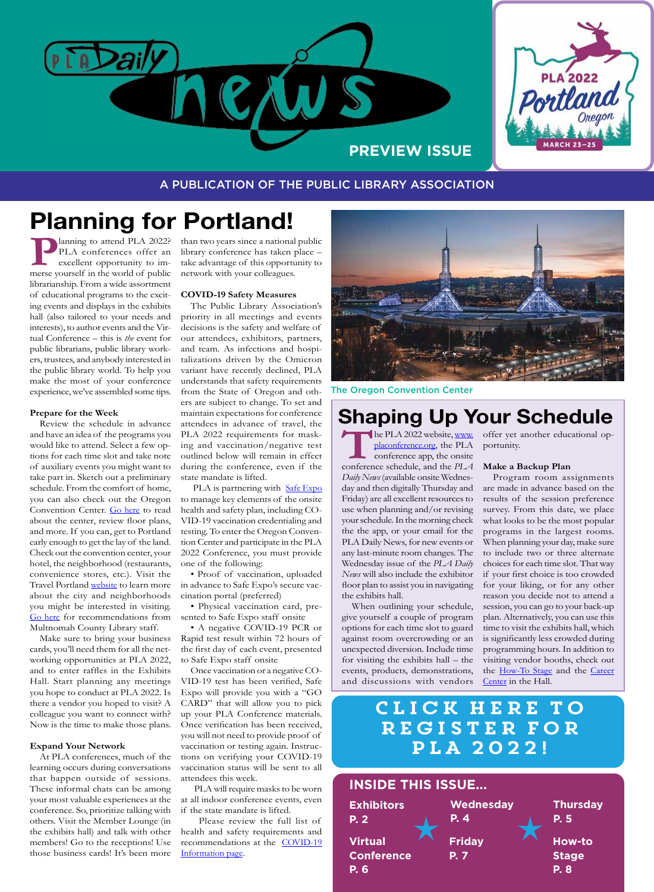

**MARCH 23-25** 

A PUBLICATION OF THE PUBLIC LIBRARY ASSOCIATION

# **Planning for Portland!**

**PLA conferences offer an excellent opportunity to im-**<br>merse yourself in the world of public PLA conferences offer an excellent opportunity to imlibrarianship. From a wide assortment of educational programs to the exciting events and displays in the exhibits hall (also tailored to your needs and interests), to author events and the Virtual Conference – this is *the* event for public librarians, public library workers, trustees, and anybody interested in the public library world. To help you make the most of your conference experience, we've assembled some tips.

#### **Prepare for the Week**

Review the schedule in advance and have an idea of the programs you would like to attend. Select a few options for each time slot and take note of auxiliary events you might want to take part in. Sketch out a preliminary schedule. From the comfort of home, you can also check out the Oregon Convention Center. [Go here](https://www.oregoncc.org/en) to read about the center, review floor plans, and more. If you can, get to Portland early enough to get the lay of the land. Check out the convention center, your hotel, the neighborhood (restaurants, convenience stores, etc.). Visit the Travel Portland [website](https://www.travelportland.com/?utm_source=google&utm_medium=adwords&utm_campaign=summer&utm_term=Travel%20Portland&utm_content=General%20Portland&gclid=CjwKCAiAgbiQBhAHEiwAuQ6BkttKmiRxl-0jsVFYTcDyXDEk5c5TLLMZsW-kDcfyChw1cpMbHpSPwhoCoEkQAvD_BwE) to learn more about the city and neighborhoods you might be interested in visiting. [Go here](https://www.placonference.org/my_portland.cfm) for recommendations from Multnomah County Library staff.

Make sure to bring your business cards, you'll need them for all the networking opportunities at PLA 2022, and to enter raffles in the Exhibits Hall. Start planning any meetings you hope to conduct at PLA 2022. Is there a vendor you hoped to visit? A colleague you want to connect with? Now is the time to make those plans.

#### **Expand Your Network**

At PLA conferences, much of the learning occurs during conversations that happen outside of sessions. These informal chats can be among your most valuable experiences at the conference. So, prioritize talking with others. Visit the Member Lounge (in the exhibits hall) and talk with other members! Go to the receptions! Use those business cards! It's been more

than two years since a national public library conference has taken place – take advantage of this opportunity to network with your colleagues.

#### **COVID-19 Safety Measures**

The Public Library Association's priority in all meetings and events decisions is the safety and welfare of our attendees, exhibitors, partners, and team. As infections and hospitalizations driven by the Omicron variant have recently declined, PLA understands that safety requirements from the State of Oregon and others are subject to change. To set and maintain expectations for conference attendees in advance of travel, the PLA 2022 requirements for masking and vaccination/negative test outlined below will remain in effect during the conference, even if the state mandate is lifted.

PLA is partnering with [Safe Expo](http://ala.informz.net/z/cjUucD9taT0xMDQ3MzQwNyZwPTEmdT0xMDY1NzQ2MTg2JmxpPTkzMTg1MjI5/index.html) to manage key elements of the onsite health and safety plan, including CO-VID-19 vaccination credentialing and testing. To enter the Oregon Convention Center and participate in the PLA 2022 Conference, you must provide one of the following:

• Proof of vaccination, uploaded in advance to Safe Expo's secure vaccination portal (preferred)

• Physical vaccination card, presented to Safe Expo staff onsite

• A negative COVID-19 PCR or Rapid test result within 72 hours of the first day of each event, presented to Safe Expo staff onsite

Once vaccination or a negative CO-VID-19 test has been verified, Safe Expo will provide you with a "GO CARD" that will allow you to pick up your PLA Conference materials. Once verification has been received, you will not need to provide proof of vaccination or testing again. Instructions on verifying your COVID-19 vaccination status will be sent to all attendees this week.

 PLA will require masks to be worn at all indoor conference events, even if the state mandate is lifted.

 Please review the full list of health and safety requirements and recommendations at the [COVID-19](http://ala.informz.net/z/cjUucD9taT0xMDQ3MzQwNyZwPTEmdT0xMDY1NzQ2MTg2JmxpPTkzMTg1MjI4/index.html)  [Information page](http://ala.informz.net/z/cjUucD9taT0xMDQ3MzQwNyZwPTEmdT0xMDY1NzQ2MTg2JmxpPTkzMTg1MjI4/index.html).



The Oregon Convention Center

# **Shaping Up Your Schedule**

The PLA 2022 website, [www.](http://www.placonference.org)<br>
placonference.org, the PLA<br>
conference app, the onsite<br>
conference schedule, and the *PLA* [placonference.org](http://www.placonference.org), the PLA conference app, the onsite *Daily News* (available onsite Wednesday and then digitally Thursday and Friday) are all excellent resources to use when planning and/or revising your schedule. In the morning check the the app, or your email for the PLA Daily News, for new events or any last-minute room changes. The Wednesday issue of the *PLA Daily News* will also include the exhibitor floor plan to assist you in navigating the exhibits hall.

When outlining your schedule, give yourself a couple of program options for each time slot to guard against room overcrowding or an unexpected diversion. Include time for visiting the exhibits hall – the events, products, demonstrations, and discussions with vendors

he PLA 2022 website, www. offer yet another educational opportunity.

#### **Make a Backup Plan**

Program room assignments are made in advance based on the results of the session preference survey. From this date, we place what looks to be the most popular programs in the largest rooms. When planning your day, make sure to include two or three alternate choices for each time slot. That way if your first choice is too crowded for your liking, or for any other reason you decide not to attend a session, you can go to your back-up plan. Alternatively, you can use this time to visit the exhibits hall, which is significantly less crowded during programming hours. In addition to visiting vendor booths, check out the [How-To Stage](https://www.placonference.org/how_to_stage.cfm) and the [Career](https://www.placonference.org/career_center.cfm)  [Center](https://www.placonference.org/career_center.cfm) in the Hall.

### CLICK HERE register for LA 2022!

# **INSIDE THIS ISSUE...**

| <b>Exhibitors</b> | <b>Wednesday</b> | <b>Thursday</b> |
|-------------------|------------------|-----------------|
| <b>P. 2</b>       | P. 4             | P. 5            |
| <b>Virtual</b>    | <b>Friday</b>    | <b>How-to</b>   |
| <b>Conference</b> | <b>P.7</b>       | <b>Stage</b>    |
| P. 6              |                  | <b>P.</b> 8     |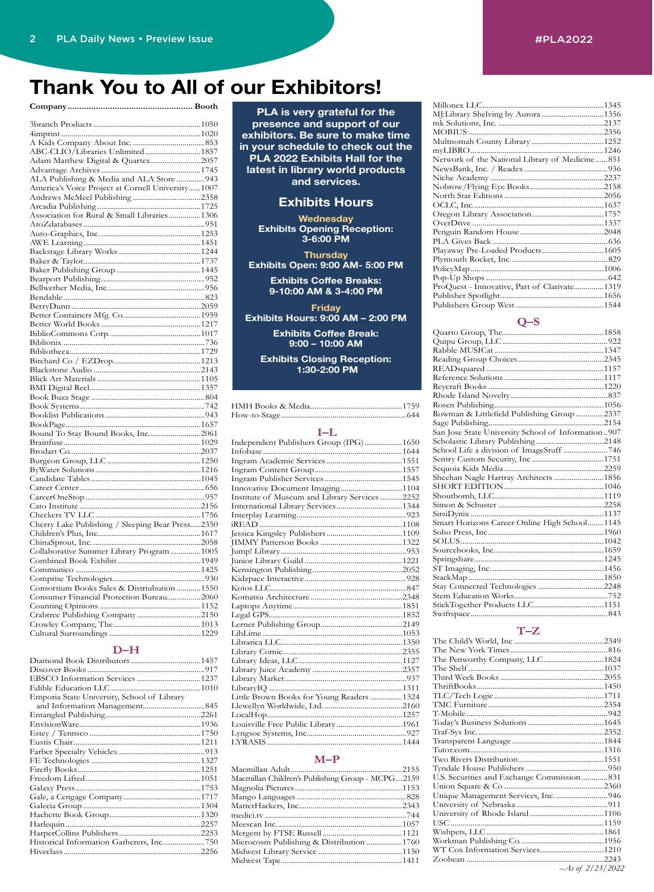## **Thank You to All of our Exhibitors!**

#### **Company..................................................... Booth**

| ABC-CLIO/Libraries Unlimited1857                  |  |
|---------------------------------------------------|--|
| Adam Matthew Digital & Quartex2057                |  |
|                                                   |  |
| ALA Publishing & Media and ALA Store  943         |  |
| America's Voice Project at Cornell University1007 |  |
|                                                   |  |
|                                                   |  |
| Association for Rural & Small Libraries1306       |  |
|                                                   |  |
|                                                   |  |
|                                                   |  |
|                                                   |  |
|                                                   |  |
|                                                   |  |
|                                                   |  |
|                                                   |  |
|                                                   |  |
|                                                   |  |
|                                                   |  |
|                                                   |  |
|                                                   |  |
|                                                   |  |
|                                                   |  |
|                                                   |  |
|                                                   |  |
|                                                   |  |
|                                                   |  |
|                                                   |  |
|                                                   |  |
|                                                   |  |
|                                                   |  |
| Bound To Stay Bound Books, Inc. 2061              |  |
|                                                   |  |
|                                                   |  |
|                                                   |  |
|                                                   |  |
|                                                   |  |
|                                                   |  |
|                                                   |  |
|                                                   |  |
| Cherry Lake Publishing / Sleeping Bear Press2350  |  |
|                                                   |  |
|                                                   |  |
| Collaborative Summer Library Program 1005         |  |
|                                                   |  |
|                                                   |  |
|                                                   |  |
| Consortium Books Sales & Distriubution  1550      |  |
| Consumer Financial Protection Bureau2060          |  |
|                                                   |  |
| Crabtree Publishing Company2150                   |  |
|                                                   |  |
|                                                   |  |
|                                                   |  |

#### **D–H**

| Emporia State University, School of Library |  |
|---------------------------------------------|--|
|                                             |  |
|                                             |  |
|                                             |  |
|                                             |  |
|                                             |  |
|                                             |  |
|                                             |  |
|                                             |  |
|                                             |  |
|                                             |  |
|                                             |  |
|                                             |  |
|                                             |  |
|                                             |  |
|                                             |  |
|                                             |  |
|                                             |  |

**PLA is very grateful for the presence and support of our exhibitors. Be sure to make time in your schedule to check out the PLA 2022 Exhibits Hall for the latest in library world products and services.**

#### **Exhibits Hours**

**Wednesday Exhibits Opening Reception: 3-6:00 PM**

**Thursday Exhibits Open: 9:00 AM- 5:00 PM**

> **Exhibits Coffee Breaks: 9-10:00 AM & 3-4:00 PM**

**Friday Exhibits Hours: 9:00 AM – 2:00 PM**

> **Exhibits Coffee Break: 9:00 – 10:00 AM**

**Exhibits Closing Reception: 1:30-2:00 PM**

#### **I–L**

| Independent Publishers Group (IPG)1650        |  |
|-----------------------------------------------|--|
|                                               |  |
|                                               |  |
|                                               |  |
|                                               |  |
| Innovative Document Imaging1104               |  |
| Institute of Museum and Library Services 2252 |  |
| International Library Services1344            |  |
|                                               |  |
|                                               |  |
|                                               |  |
|                                               |  |
|                                               |  |
|                                               |  |
|                                               |  |
|                                               |  |
|                                               |  |
|                                               |  |
|                                               |  |
|                                               |  |
|                                               |  |
|                                               |  |
|                                               |  |
|                                               |  |
|                                               |  |
|                                               |  |
|                                               |  |
|                                               |  |
| Little Brown Books for Young Readers 1324     |  |
|                                               |  |
|                                               |  |
|                                               |  |
|                                               |  |
|                                               |  |
|                                               |  |

#### **M–P**

| Macmillan Children's Publishing Group - MCPG2159 |  |
|--------------------------------------------------|--|
|                                                  |  |
|                                                  |  |
|                                                  |  |
|                                                  |  |
|                                                  |  |
|                                                  |  |
| Microcosm Publishing & Distribution 1760         |  |
|                                                  |  |
|                                                  |  |

| Network of the National Library of Medicine851 |  |
|------------------------------------------------|--|
|                                                |  |
|                                                |  |
|                                                |  |
|                                                |  |
|                                                |  |
|                                                |  |
|                                                |  |
|                                                |  |
|                                                |  |
| Playaway Pre-Loaded Products1605               |  |
|                                                |  |
|                                                |  |
|                                                |  |
| ProQuest - Innovative, Part of Clarivate1319   |  |
|                                                |  |
|                                                |  |
|                                                |  |

#### **Q–S**

| Rowman & Littlefield Publishing Group 2337         |  |
|----------------------------------------------------|--|
|                                                    |  |
| San Jose State University School of Information907 |  |
|                                                    |  |
| School Life a division of ImageStuff 746           |  |
|                                                    |  |
|                                                    |  |
| Sheehan Nagle Hartray Architects 1856              |  |
|                                                    |  |
|                                                    |  |
|                                                    |  |
|                                                    |  |
| Smart Horizons Career Online High School 1145      |  |
|                                                    |  |
|                                                    |  |
|                                                    |  |
|                                                    |  |
|                                                    |  |
|                                                    |  |
|                                                    |  |
|                                                    |  |
|                                                    |  |
|                                                    |  |

#### **T–Z**

| The Penworthy Company, LLC1824               |
|----------------------------------------------|
|                                              |
|                                              |
|                                              |
|                                              |
|                                              |
|                                              |
|                                              |
|                                              |
|                                              |
|                                              |
|                                              |
|                                              |
| U.S. Securities and Exchange Commission  831 |
|                                              |
|                                              |
|                                              |
|                                              |
|                                              |
|                                              |
|                                              |
| WT Cox Information Services1210              |
|                                              |
|                                              |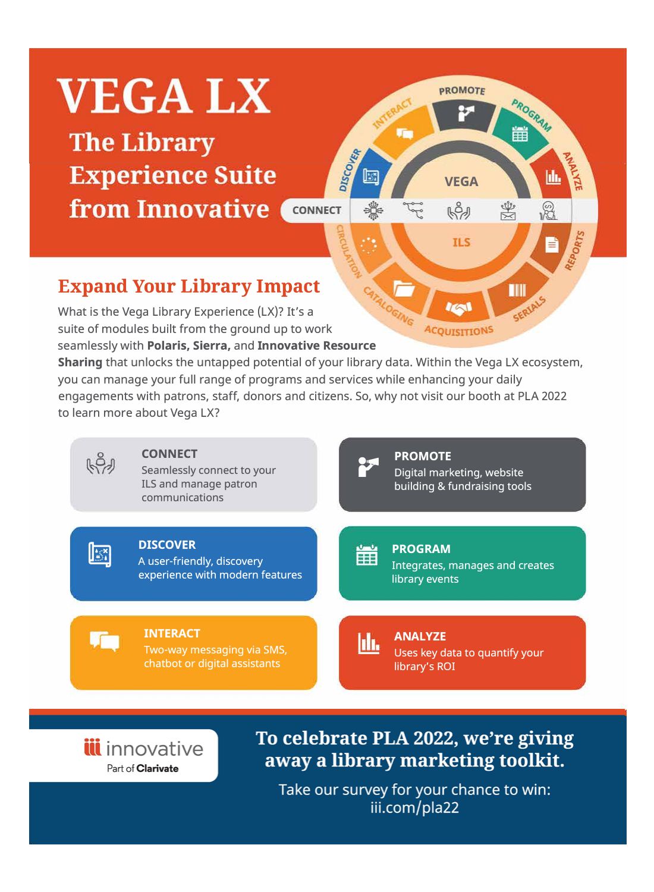

iii innovative Part of **Clarivate** 

To celebrate PLA 2022, we're giving away a library marketing toolkit.

Take our survey for your chance to win: iii.com/pla22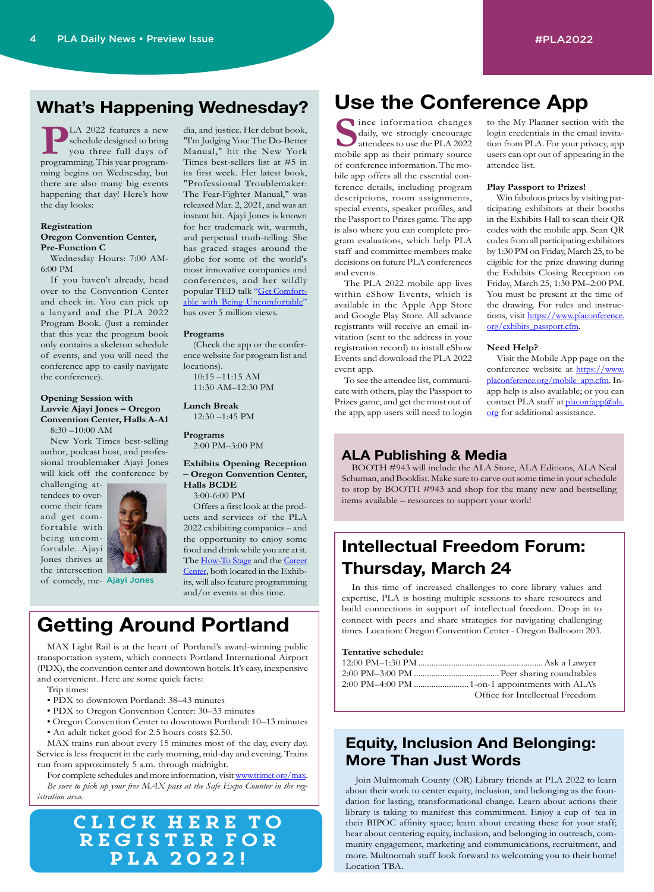### **What's Happening Wednesday?**

**PLA 2022 features a new schedule designed to bring you three full days of programming. This year program**schedule designed to bring you three full days of ming begins on Wednesday, but there are also many big events happening that day! Here's how the day looks:

#### **Registration Oregon Convention Center,**

**Pre-Function C** Wednesday Hours: 7:00 AM-

6:00 PM

If you haven't already, head over to the Convention Center and check in. You can pick up a lanyard and the PLA 2022 Program Book. (Just a reminder that this year the program book only contains a skeleton schedule of events, and you will need the conference app to easily navigate the conference).

#### **Opening Session with Luvvie Ajayi Jones – Oregon Convention Center, Halls A-A1**

8:30 –10:00 AM

New York Times best-selling author, podcast host, and professional troublemaker Ajayi Jones will kick off the conference by

challenging attendees to overcome their fears and get comfortable with being uncomfortable. Ajayi Jones thrives at the intersection



of comedy, me-Ajayi Jones

#### dia, and justice. Her debut book, "I'm Judging You: The Do-Better Manual," hit the New York Times best-sellers list at #5 in its first week. Her latest book, "Professional Troublemaker: The Fear-Fighter Manual," was released Mar. 2, 2021, and was an instant hit. Ajayi Jones is known for her trademark wit, warmth, and perpetual truth-telling. She has graced stages around the globe for some of the world's most innovative companies and conferences, and her wildly popular TED talk "[Get Comfort](https://youtu.be/QijH4UAqGD8)[able with Being Uncomfortable"](https://youtu.be/QijH4UAqGD8) has over 5 million views.

#### **Programs**

(Check the app or the conference website for program list and locations). 10:15 –11:15 AM

11:30 AM–12:30 PM

**Lunch Break**  12:30 –1:45 PM

**Programs** 2:00 PM–3:00 PM

**Exhibits Opening Reception – Oregon Convention Center, Halls BCDE**

3:00-6:00 PM

Offers a first look at the products and services of the PLA 2022 exhibiting companies – and the opportunity to enjoy some food and drink while you are at it. The [How-To Stage](https://www.placonference.org/how_to_stage.cfm) and the Career [Center](https://www.placonference.org/career_center.cfm), both located in the Exhibits, will also feature programming and/or events at this time.

# **Getting Around Portland**

MAX Light Rail is at the heart of Portland's award-winning public transportation system, which connects Portland International Airport (PDX), the convention center and downtown hotels. It's easy, inexpensive and convenient. Here are some quick facts:

- Trip times:
- PDX to downtown Portland: 38–43 minutes
- PDX to Oregon Convention Center: 30–33 minutes
- Oregon Convention Center to downtown Portland: 10–13 minutes • An adult ticket good for 2.5 hours costs \$2.50.

MAX trains run about every 15 minutes most of the day, every day. Service is less frequent in the early morning, mid-day and evening. Trains run from approximately 5 a.m. through midnight.

For complete schedules and more information, visit [www.trimet.org/max](http://www.trimet.org/max). *Be sure to pick up your free MAX pass at the Safe Expo Counter in the registration area.*

### Click here to register for PLA 2022!

# **Use the Conference App**

**S**ince information changes daily, we strongly encourage attendees to use the PLA 2022 mobile app as their primary source of conference information. The mobile app offers all the essential conference details, including program descriptions, room assignments, special events, speaker profiles, and the Passport to Prizes game. The app is also where you can complete program evaluations, which help PLA staff and committee members make decisions on future PLA conferences and events.

The PLA 2022 mobile app lives within eShow Events, which is available in the Apple App Store and Google Play Store. All advance registrants will receive an email invitation (sent to the address in your registration record) to install eShow Events and download the PLA 2022 event app.

To see the attendee list, communicate with others, play the Passport to Prizes game, and get the most out of the app, app users will need to login to the My Planner section with the login credentials in the email invitation from PLA. For your privacy, app users can opt out of appearing in the attendee list.

#### **Play Passport to Prizes!**

Win fabulous prizes by visiting participating exhibitors at their booths in the Exhibits Hall to scan their QR codes with the mobile app. Scan QR codes from all participating exhibitors by 1:30 PM on Friday, March 25, to be eligible for the prize drawing during the Exhibits Closing Reception on Friday, March 25, 1:30 PM–2:00 PM. You must be present at the time of the drawing. For rules and instructions, visit [https://www.placonference.](https://www.placonference.org/exhibits_passport.cfm) [org/exhibits\\_passport.cfm.](https://www.placonference.org/exhibits_passport.cfm)

#### **Need Help?**

Visit the Mobile App page on the conference website at [https://www.](https://www.placonference.org/mobile_app.cfm) [placonference.org/mobile\\_app.cfm](https://www.placonference.org/mobile_app.cfm). Inapp help is also available; or you can contact PLA staff at [placonfapp@ala.](mailto:placonfapp%40ala.org?subject=) [org](mailto:placonfapp%40ala.org?subject=) for additional assistance.

### **ALA Publishing & Media**

BOOTH #943 will include the ALA Store, ALA Editions, ALA Neal Schuman, and Booklist. Make sure to carve out some time in your schedule to stop by BOOTH #943 and shop for the many new and bestselling items available – resources to support your work!

### **Intellectual Freedom Forum: Thursday, March 24**

In this time of increased challenges to core library values and expertise, PLA is hosting multiple sessions to share resources and build connections in support of intellectual freedom. Drop in to connect with peers and share strategies for navigating challenging times. Location: Oregon Convention Center - Oregon Ballroom 203.

#### **Tentative schedule:**

| Office for Intellectual Freedom |
|---------------------------------|

### **Equity, Inclusion And Belonging: More Than Just Words**

Join Multnomah County (OR) Library friends at PLA 2022 to learn about their work to center equity, inclusion, and belonging as the foundation for lasting, transformational change. Learn about actions their library is taking to manifest this commitment. Enjoy a cup of tea in their BIPOC affinity space; learn about creating these for your staff; hear about centering equity, inclusion, and belonging in outreach, community engagement, marketing and communications, recruitment, and more. Multnomah staff look forward to welcoming you to their home! Location TBA.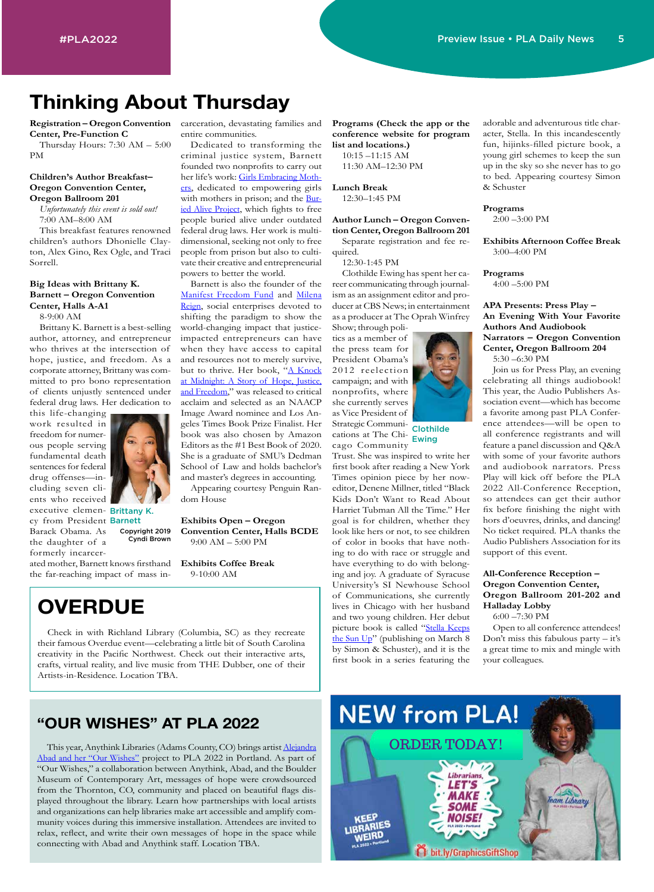## **Thinking About Thursday**

**Registration – Oregon Convention Center, Pre-Function C**

Thursday Hours: 7:30 AM – 5:00 PM

#### **Children's Author Breakfast– Oregon Convention Center, Oregon Ballroom 201**

*Unfortunately this event is sold out!* 7:00 AM–8:00 AM

This breakfast features renowned children's authors Dhonielle Clayton, Alex Gino, Rex Ogle, and Traci Sorrell.

#### **Big Ideas with Brittany K. Barnett – Oregon Convention Center, Halls A-A1**

8-9:00 AM

Brittany K. Barnett is a best-selling author, attorney, and entrepreneur who thrives at the intersection of hope, justice, and freedom. As a corporate attorney, Brittany was committed to pro bono representation of clients unjustly sentenced under federal drug laws. Her dedication to

this life-changing work resulted in freedom for numerous people serving fundamental death sentences for federal drug offenses—including seven clients who received

executive clemen- Brittany K. cy from President Barnett Copyright 2019

Barack Obama. As the daughter of a formerly incarcer-Cyndi Brown

ated mother, Barnett knows firsthand **Exhibits Coffee Break** the far-reaching impact of mass in-

carceration, devastating families and entire communities.

Dedicated to transforming the criminal justice system, Barnett founded two nonprofits to carry out her life's work: [Girls Embracing Moth](https://girlsembracingmothers.org/)[er](https://girlsembracingmothers.org/)s, dedicated to empowering girls with mothers in prison; and the [Bur](https://www.buriedaliveproject.org/)[ied Alive Project](https://www.buriedaliveproject.org/), which fights to free people buried alive under outdated federal drug laws. Her work is multidimensional, seeking not only to free people from prison but also to cultivate their creative and entrepreneurial powers to better the world.

Barnett is also the founder of the [Manifest Freedom Fund](https://www.manifestfreedom.com/) and Milena [Reign](https://www.brittanykbarnett.com/milena-reign), social enterprises devoted to shifting the paradigm to show the world-changing impact that justiceimpacted entrepreneurs can have when they have access to capital and resources not to merely survive, but to thrive. Her book, "A Knock [at Midnight: A Story of Hope, Justice,](https://www.amazon.com/Knock-Midnight-Story-Justice-Freedom/dp/198482578X)  [and Freedom](https://www.amazon.com/Knock-Midnight-Story-Justice-Freedom/dp/198482578X)," was released to critical acclaim and selected as an NAACP Image Award nominee and Los Angeles Times Book Prize Finalist. Her book was also chosen by Amazon Editors as the #1 Best Book of 2020. She is a graduate of SMU's Dedman School of Law and holds bachelor's and master's degrees in accounting.

Appearing courtesy Penguin Random House

**Exhibits Open – Oregon Convention Center, Halls BCDE** 9:00 AM – 5:00 PM

9-10:00 AM

# **OVERDUE**

Check in with Richland Library (Columbia, SC) as they recreate their famous Overdue event—celebrating a little bit of South Carolina creativity in the Pacific Northwest. Check out their interactive arts, crafts, virtual reality, and live music from THE Dubber, one of their Artists-in-Residence. Location TBA.

### **"OUR WISHES" AT PLA 2022**

This year, Anythink Libraries (Adams County, CO) brings artist [Alejandra](https://alejandraabad.com/project/our-wishes-2/) [Abad and her "Our Wishes"](https://alejandraabad.com/project/our-wishes-2/) project to PLA 2022 in Portland. As part of "Our Wishes," a collaboration between Anythink, Abad, and the Boulder Museum of Contemporary Art, messages of hope were crowdsourced from the Thornton, CO, community and placed on beautiful flags displayed throughout the library. Learn how partnerships with local artists and organizations can help libraries make art accessible and amplify community voices during this immersive installation. Attendees are invited to relax, reflect, and write their own messages of hope in the space while connecting with Abad and Anythink staff. Location TBA.

**Programs (Check the app or the conference website for program list and locations.)** 10:15 –11:15 AM

11:30 AM–12:30 PM

**Lunch Break** 12:30–1:45 PM

**Author Lunch – Oregon Convention Center, Oregon Ballroom 201**

Separate registration and fee required.

12:30-1:45 PM

Clothilde Ewing has spent her career communicating through journalism as an assignment editor and producer at CBS News; in entertainment as a producer at The Oprah Winfrey

Show; through politics as a member of the press team for President Obama's 2012 reelection campaign; and with nonprofits, where she currently serves as Vice President of Strategic Communi-

cations at The Chicago Community Clothilde Ewing

Trust. She was inspired to write her first book after reading a New York Times opinion piece by her noweditor, Denene Millner, titled "Black Kids Don't Want to Read About Harriet Tubman All the Time." Her goal is for children, whether they look like hers or not, to see children of color in books that have nothing to do with race or struggle and have everything to do with belonging and joy. A graduate of Syracuse University's SI Newhouse School of Communications, she currently lives in Chicago with her husband and two young children. Her debut picture book is called "[Stella Keeps](https://www.amazon.com/Stella-Keeps-Sun-Clothilde-Ewing/dp/1534487859)  [the Sun Up](https://www.amazon.com/Stella-Keeps-Sun-Clothilde-Ewing/dp/1534487859)" (publishing on March 8 by Simon & Schuster), and it is the first book in a series featuring the on March 8 Dont miss<br>and it is the a great time<br>eaturing the vour colleag

adorable and adventurous title character, Stella. In this incandescently fun, hijinks-filled picture book, a young girl schemes to keep the sun up in the sky so she never has to go to bed. Appearing courtesy Simon & Schuster

#### **Programs**

2:00 –3:00 PM

**Exhibits Afternoon Coffee Break** 3:00–4:00 PM

#### **Programs**

4:00 –5:00 PM

**APA Presents: Press Play – An Evening With Your Favorite Authors And Audiobook Narrators – Oregon Convention Center, Oregon Ballroom 204**

5:30 –6:30 PM

Join us for Press Play, an evening celebrating all things audiobook! This year, the Audio Publishers Association event—which has become a favorite among past PLA Conference attendees—will be open to all conference registrants and will feature a panel discussion and Q&A with some of your favorite authors and audiobook narrators. Press Play will kick off before the PLA 2022 All-Conference Reception, so attendees can get their author fix before finishing the night with hors d'oeuvres, drinks, and dancing! No ticket required. PLA thanks the Audio Publishers Association for its support of this event.

#### **All-Conference Reception – Oregon Convention Center, Oregon Ballroom 201-202 and Halladay Lobby**

6:00 –7:30 PM

Open to all conference attendees! Don't miss this fabulous party  $-$  it's a great time to mix and mingle with your colleagues.

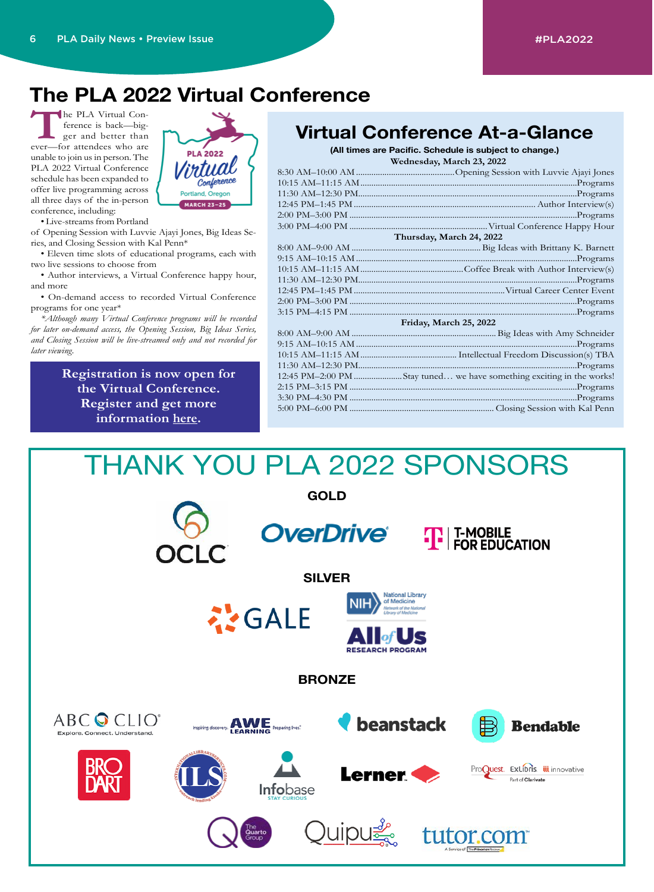# **The PLA 2022 Virtual Conference**

The PLA Virtual Conference is back—bigger and better than<br>
ever—for attendees who are ference is back—bigger and better than unable to join us in person. The PLA 2022 Virtual Conference schedule has been expanded to offer live programming across all three days of the in-person conference, including:

• Live-streams from Portland

of Opening Session with Luvvie Ajayi Jones, Big Ideas Series, and Closing Session with Kal Penn\*

• Eleven time slots of educational programs, each with two live sessions to choose from

• Author interviews, a Virtual Conference happy hour, and more

• On-demand access to recorded Virtual Conference programs for one year\*

*\*Although many Virtual Conference programs will be recorded for later on-demand access, the Opening Session, Big Ideas Series, and Closing Session will be live-streamed only and not recorded for later viewing.*

> **Registration is now open for the Virtual Conference. Register and get more information [here.](https://www.placonference.org/virtual_conference.cfm)**

| <b>PLA 2022</b><br>Virtual<br>Conference<br>Portland, Oregon |  |
|--------------------------------------------------------------|--|
| <b>MARCH 23-25</b>                                           |  |

## **Virtual Conference At-a-Glance**

**Wednesday, March 23, 2022 (All times are Pacific. Schedule is subject to change.)**

| Wednesday, March 20, 2022 |                                                                      |
|---------------------------|----------------------------------------------------------------------|
|                           |                                                                      |
|                           |                                                                      |
|                           |                                                                      |
|                           |                                                                      |
|                           |                                                                      |
|                           |                                                                      |
|                           | Thursday, March 24, 2022                                             |
|                           |                                                                      |
|                           |                                                                      |
|                           |                                                                      |
|                           |                                                                      |
|                           |                                                                      |
|                           |                                                                      |
|                           |                                                                      |
|                           | Friday, March 25, 2022                                               |
|                           |                                                                      |
|                           |                                                                      |
|                           |                                                                      |
|                           |                                                                      |
|                           | 12:45 PM-2:00 PM Stay tuned we have something exciting in the works! |
|                           |                                                                      |

3:30 PM–4:30 PM ........................................................................................................Programs 5:00 PM–6:00 PM .................................................................. Closing Session with Kal Penn

THANK YOU PLA 2022 SPONSORS **GOLD OverDrive®**  $\left| \mathbf{T} \right|$  T-MOBILE<br>FOR EDUCATION **SILVER National Library** 





**BRONZE**

<u> Quipuई</u>













ProQuest. ExLibris. iii innovative

Part of Clarivate

tutor.com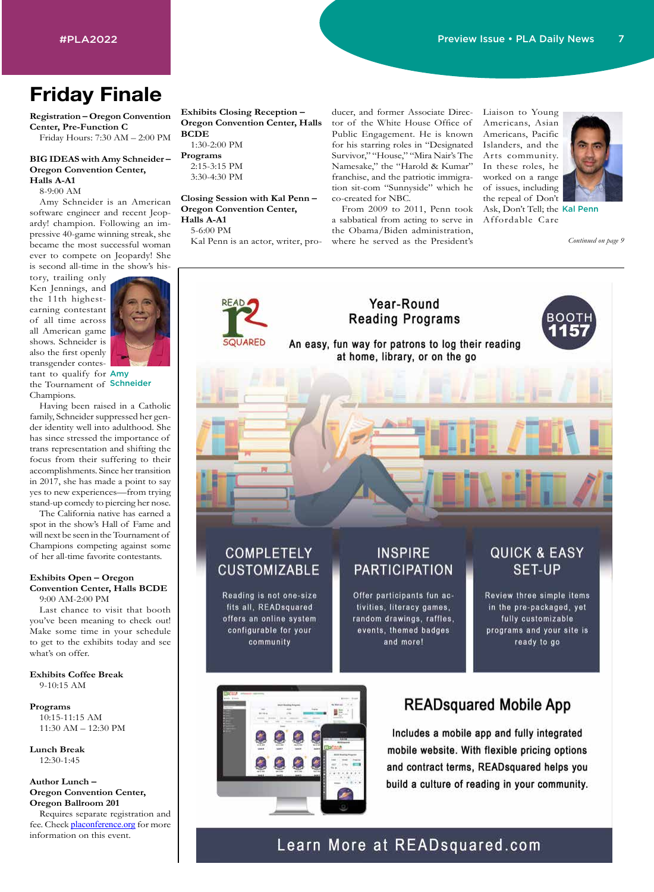# **Friday Finale**

**Registration – Oregon Convention Center, Pre-Function C** Friday Hours: 7:30 AM – 2:00 PM

#### **BIG IDEAS with Amy Schneider – Oregon Convention Center, Halls A-A1**

8-9:00 AM

Amy Schneider is an American software engineer and recent Jeopardy! champion. Following an impressive 40-game winning streak, she became the most successful woman ever to compete on Jeopardy! She is second all-time in the show's his-

tory, trailing only Ken Jennings, and the 11th highestearning contestant of all time across all American game shows. Schneider is also the first openly transgender contes-



tant to qualify for Amy the Tournament of **Schneider** Champions.

Having been raised in a Catholic family, Schneider suppressed her gender identity well into adulthood. She has since stressed the importance of trans representation and shifting the focus from their suffering to their accomplishments. Since her transition in 2017, she has made a point to say yes to new experiences—from trying stand-up comedy to piercing her nose.

The California native has earned a spot in the show's Hall of Fame and will next be seen in the Tournament of Champions competing against some of her all-time favorite contestants.

#### **Exhibits Open – Oregon Convention Center, Halls BCDE** 9:00 AM-2:00 PM

Last chance to visit that booth you've been meaning to check out! Make some time in your schedule to get to the exhibits today and see what's on offer.

**Exhibits Coffee Break**  9-10:15 AM

#### **Programs** 10:15-11:15 AM 11:30 AM – 12:30 PM

**Lunch Break**  12:30-1:45

**Author Lunch – Oregon Convention Center, Oregon Ballroom 201**

Requires separate registration and fee. Check **[placonference.org](http://placonference.org)** for more information on this event.

**Exhibits Closing Reception – Oregon Convention Center, Halls BCDE** 1:30-2:00 PM

**Programs** 2:15-3:15 PM 3:30-4:30 PM

#### **Closing Session with Kal Penn – Oregon Convention Center, Halls A-A1**

5-6:00 PM

Kal Penn is an actor, writer, pro-

ducer, and former Associate Director of the White House Office of Public Engagement. He is known for his starring roles in "Designated Survivor," "House," "Mira Nair's The Namesake," the "Harold & Kumar" franchise, and the patriotic immigration sit-com "Sunnyside" which he co-created for NBC.

From 2009 to 2011, Penn took Ask, Don't Tell; the Kal Penn a sabbatical from acting to serve in the Obama/Biden administration, where he served as the President's

Liaison to Young Americans, Asian Americans, Pacific Islanders, and the Arts community. In these roles, he worked on a range of issues, including the repeal of Don't



Affordable Care

*Continued on page 9*



mobile website. With flexible pricing options and contract terms, READsquared helps you build a culture of reading in your community.

### Learn More at READsquared.com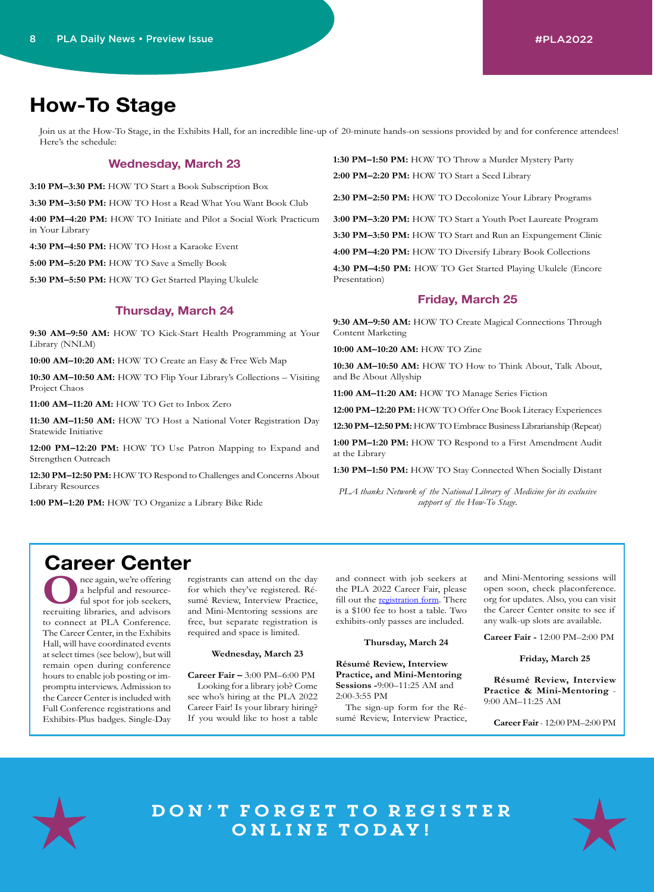## **How-To Stage**

Join us at the How-To Stage, in the Exhibits Hall, for an incredible line-up of 20-minute hands-on sessions provided by and for conference attendees! Here's the schedule:

#### **Wednesday, March 23**

**3:10 PM–3:30 PM:** HOW TO Start a Book Subscription Box

**3:30 PM–3:50 PM:** HOW TO Host a Read What You Want Book Club

**4:00 PM–4:20 PM:** HOW TO Initiate and Pilot a Social Work Practicum in Your Library

**4:30 PM–4:50 PM:** HOW TO Host a Karaoke Event

**5:00 PM–5:20 PM:** HOW TO Save a Smelly Book

**5:30 PM–5:50 PM:** HOW TO Get Started Playing Ukulele

#### **Thursday, March 24**

**9:30 AM–9:50 AM:** HOW TO Kick-Start Health Programming at Your Library (NNLM)

**10:00 AM–10:20 AM:** HOW TO Create an Easy & Free Web Map

**10:30 AM–10:50 AM:** HOW TO Flip Your Library's Collections – Visiting Project Chaos

**11:00 AM–11:20 AM:** HOW TO Get to Inbox Zero

**11:30 AM–11:50 AM:** HOW TO Host a National Voter Registration Day Statewide Initiative

**12:00 PM–12:20 PM:** HOW TO Use Patron Mapping to Expand and Strengthen Outreach

**12:30 PM–12:50 PM:** HOW TO Respond to Challenges and Concerns About Library Resources

**1:00 PM–1:20 PM:** HOW TO Organize a Library Bike Ride

**1:30 PM–1:50 PM:** HOW TO Throw a Murder Mystery Party **2:00 PM–2:20 PM:** HOW TO Start a Seed Library

**2:30 PM–2:50 PM:** HOW TO Decolonize Your Library Programs

**3:00 PM–3:20 PM:** HOW TO Start a Youth Poet Laureate Program **3:30 PM–3:50 PM:** HOW TO Start and Run an Expungement Clinic **4:00 PM–4:20 PM:** HOW TO Diversify Library Book Collections **4:30 PM–4:50 PM:** HOW TO Get Started Playing Ukulele (Encore Presentation)

#### **Friday, March 25**

**9:30 AM–9:50 AM:** HOW TO Create Magical Connections Through Content Marketing

**10:00 AM–10:20 AM:** HOW TO Zine

**10:30 AM–10:50 AM:** HOW TO How to Think About, Talk About, and Be About Allyship

**11:00 AM–11:20 AM:** HOW TO Manage Series Fiction

**12:00 PM–12:20 PM:** HOW TO Offer One Book Literacy Experiences

**12:30 PM–12:50 PM:** HOW TO Embrace Business Librarianship (Repeat)

**1:00 PM–1:20 PM:** HOW TO Respond to a First Amendment Audit at the Library

**1:30 PM–1:50 PM:** HOW TO Stay Connected When Socially Distant

*PLA thanks Network of the National Library of Medicine for its exclusive support of the How-To Stage.*

## **Career Center**

**O**nce again, we're offering<br>
a helpful and resource-<br>
ful spot for job seekers,<br>
recruiting libraries, and advisors a helpful and resourceful spot for job seekers, to connect at PLA Conference. The Career Center, in the Exhibits Hall, will have coordinated events at select times (see below), but will remain open during conference hours to enable job posting or impromptu interviews. Admission to the Career Center is included with Full Conference registrations and Exhibits-Plus badges. Single-Day

registrants can attend on the day for which they've registered. Résumé Review, Interview Practice, and Mini-Mentoring sessions are free, but separate registration is required and space is limited.

#### **Wednesday, March 23**

**Career Fair –** 3:00 PM–6:00 PM

Looking for a library job? Come see who's hiring at the PLA 2022 Career Fair! Is your library hiring? If you would like to host a table and connect with job seekers at the PLA 2022 Career Fair, please fill out the [registration form.](https://www.placonference.org/career_fair_reg.cfm) There is a \$100 fee to host a table. Two exhibits-only passes are included.

#### **Thursday, March 24**

**Résumé Review, Interview Practice, and Mini-Mentoring Sessions -**9:00–11:25 AM and 2:00-3:55 PM

The sign-up form for the Résumé Review, Interview Practice, and Mini-Mentoring sessions will open soon, check placonference. org for updates. Also, you can visit the Career Center onsite to see if any walk-up slots are available.

**Career Fair -** 12:00 PM–2:00 PM

**Friday, March 25**

**Résumé Review, Interview Practice & Mini-Mentoring** - 9:00 AM–11:25 AM

**Career Fair** - 12:00 PM–2:00 PM



DON'T FORGET TO REGISTER online today!